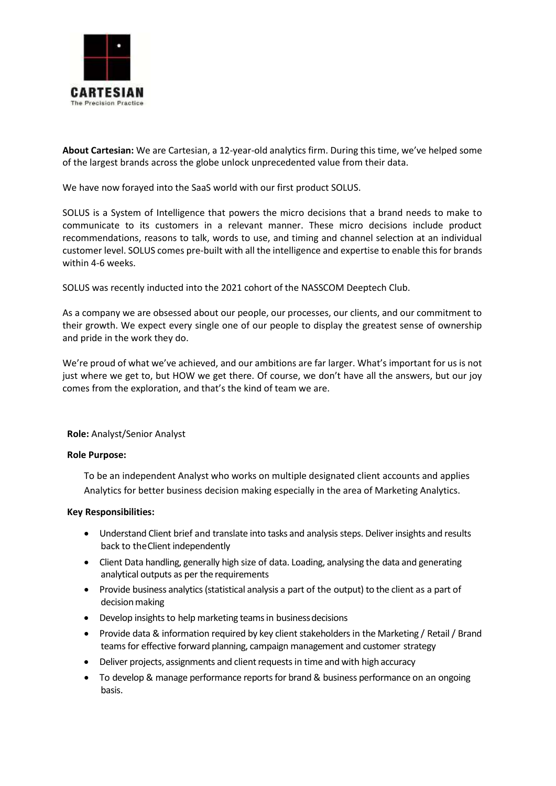

**About Cartesian:** We are Cartesian, a 12-year-old analytics firm. During this time, we've helped some of the largest brands across the globe unlock unprecedented value from their data.

We have now forayed into the SaaS world with our first product SOLUS.

SOLUS is a System of Intelligence that powers the micro decisions that a brand needs to make to communicate to its customers in a relevant manner. These micro decisions include product recommendations, reasons to talk, words to use, and timing and channel selection at an individual customer level. SOLUS comes pre-built with all the intelligence and expertise to enable this for brands within 4-6 weeks.

SOLUS was recently inducted into the 2021 cohort of the NASSCOM Deeptech Club.

As a company we are obsessed about our people, our processes, our clients, and our commitment to their growth. We expect every single one of our people to display the greatest sense of ownership and pride in the work they do.

We're proud of what we've achieved, and our ambitions are far larger. What's important for us is not just where we get to, but HOW we get there. Of course, we don't have all the answers, but our joy comes from the exploration, and that's the kind of team we are.

**Role:** Analyst/Senior Analyst

## **Role Purpose:**

To be an independent Analyst who works on multiple designated client accounts and applies Analytics for better business decision making especially in the area of Marketing Analytics.

## **Key Responsibilities:**

- Understand Client brief and translate into tasks and analysis steps. Deliver insights and results back to theClient independently
- Client Data handling, generally high size of data. Loading, analysing the data and generating analytical outputs as per the requirements
- Provide business analytics (statistical analysis a part of the output) to the client as a part of decision making
- Develop insights to help marketing teams in business decisions
- Provide data & information required by key client stakeholders in the Marketing / Retail / Brand teams for effective forward planning, campaign management and customer strategy
- Deliver projects, assignments and client requests in time and with high accuracy
- To develop & manage performance reports for brand & business performance on an ongoing basis.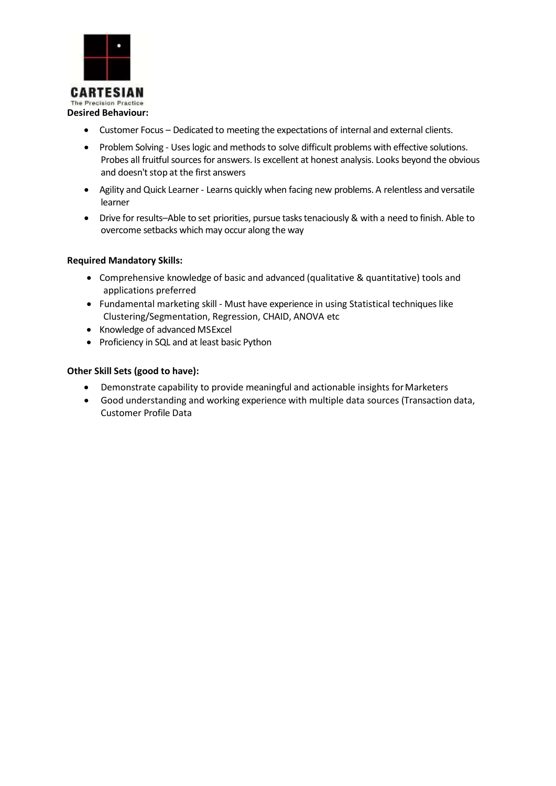

- Customer Focus Dedicated to meeting the expectations of internal and external clients.
- Problem Solving Uses logic and methods to solve difficult problems with effective solutions. Probes all fruitful sources for answers. Is excellent at honest analysis. Looks beyond the obvious and doesn't stop at the first answers
- Agility and Quick Learner Learns quickly when facing new problems. A relentless and versatile learner
- Drive for results–Able to set priorities, pursue tasks tenaciously & with a need to finish. Able to overcome setbacks which may occur along the way

# **Required Mandatory Skills:**

- Comprehensive knowledge of basic and advanced (qualitative & quantitative) tools and applications preferred
- Fundamental marketing skill Must have experience in using Statistical techniques like Clustering/Segmentation, Regression, CHAID, ANOVA etc
- Knowledge of advanced MSExcel
- Proficiency in SQL and at least basic Python

# **Other Skill Sets (good to have):**

- Demonstrate capability to provide meaningful and actionable insights for Marketers
- Good understanding and working experience with multiple data sources (Transaction data, Customer Profile Data